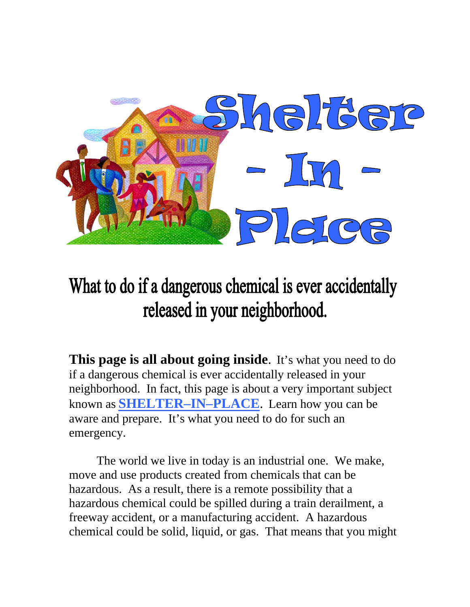

# What to do if a dangerous chemical is ever accidentally released in your neighborhood.

**This page is all about going inside**. It's what you need to do if a dangerous chemical is ever accidentally released in your neighborhood. In fact, this page is about a very important subject known as **SHELTER–IN–PLACE**. Learn how you can be aware and prepare. It's what you need to do for such an emergency.

The world we live in today is an industrial one. We make, move and use products created from chemicals that can be hazardous. As a result, there is a remote possibility that a hazardous chemical could be spilled during a train derailment, a freeway accident, or a manufacturing accident. A hazardous chemical could be solid, liquid, or gas. That means that you might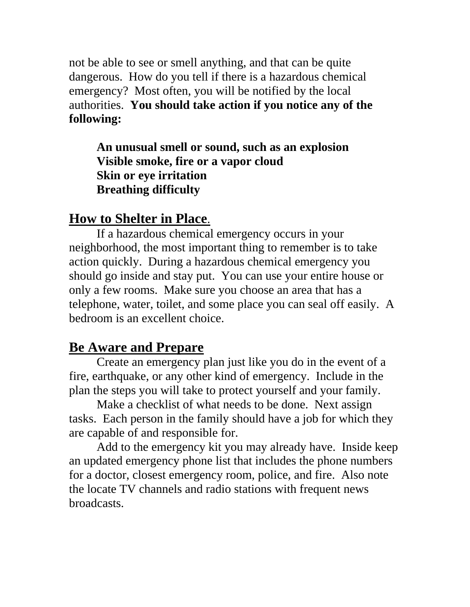not be able to see or smell anything, and that can be quite dangerous. How do you tell if there is a hazardous chemical emergency? Most often, you will be notified by the local authorities. **You should take action if you notice any of the following:** 

#### **An unusual smell or sound, such as an explosion Visible smoke, fire or a vapor cloud Skin or eye irritation Breathing difficulty**

### **How to Shelter in Place**.

 If a hazardous chemical emergency occurs in your neighborhood, the most important thing to remember is to take action quickly. During a hazardous chemical emergency you should go inside and stay put. You can use your entire house or only a few rooms. Make sure you choose an area that has a telephone, water, toilet, and some place you can seal off easily. A bedroom is an excellent choice.

## **Be Aware and Prepare**

 Create an emergency plan just like you do in the event of a fire, earthquake, or any other kind of emergency. Include in the plan the steps you will take to protect yourself and your family.

 Make a checklist of what needs to be done. Next assign tasks. Each person in the family should have a job for which they are capable of and responsible for.

 Add to the emergency kit you may already have. Inside keep an updated emergency phone list that includes the phone numbers for a doctor, closest emergency room, police, and fire. Also note the locate TV channels and radio stations with frequent news broadcasts.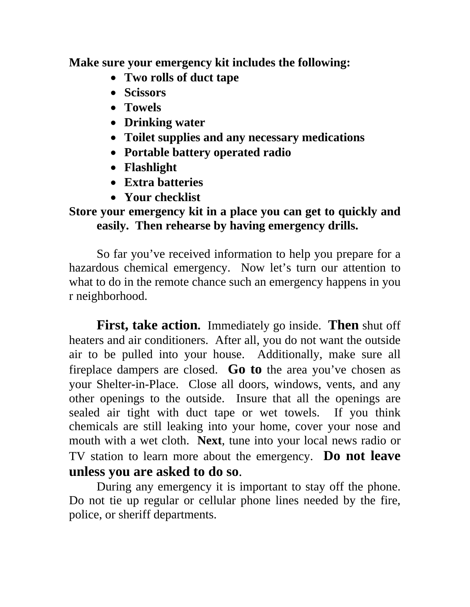**Make sure your emergency kit includes the following:** 

- **Two rolls of duct tape**
- **Scissors**
- **Towels**
- **Drinking water**
- **Toilet supplies and any necessary medications**
- **Portable battery operated radio**
- **Flashlight**
- **Extra batteries**
- **Your checklist**

#### **Store your emergency kit in a place you can get to quickly and easily. Then rehearse by having emergency drills.**

 So far you've received information to help you prepare for a hazardous chemical emergency. Now let's turn our attention to what to do in the remote chance such an emergency happens in you r neighborhood.

**First, take action.** Immediately go inside. **Then** shut off heaters and air conditioners. After all, you do not want the outside air to be pulled into your house. Additionally, make sure all fireplace dampers are closed. **Go to** the area you've chosen as your Shelter-in-Place. Close all doors, windows, vents, and any other openings to the outside. Insure that all the openings are sealed air tight with duct tape or wet towels. If you think chemicals are still leaking into your home, cover your nose and mouth with a wet cloth. **Next**, tune into your local news radio or TV station to learn more about the emergency. **Do not leave unless you are asked to do so**.

 During any emergency it is important to stay off the phone. Do not tie up regular or cellular phone lines needed by the fire, police, or sheriff departments.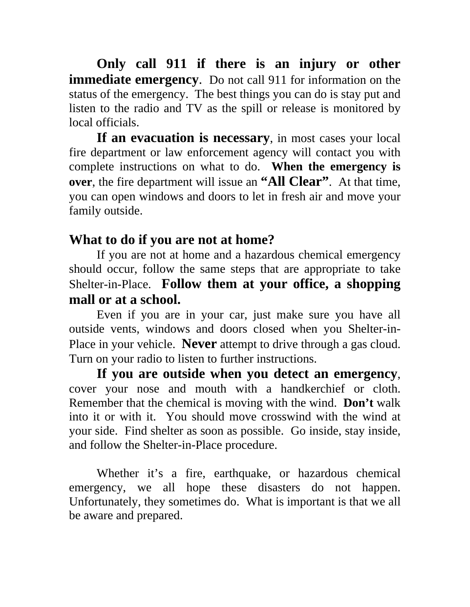**Only call 911 if there is an injury or other immediate emergency.** Do not call 911 for information on the status of the emergency. The best things you can do is stay put and listen to the radio and TV as the spill or release is monitored by local officials.

**If an evacuation is necessary**, in most cases your local fire department or law enforcement agency will contact you with complete instructions on what to do. **When the emergency is over**, the fire department will issue an **"All Clear"**. At that time, you can open windows and doors to let in fresh air and move your family outside.

## **What to do if you are not at home?**

 If you are not at home and a hazardous chemical emergency should occur, follow the same steps that are appropriate to take Shelter-in-Place. **Follow them at your office, a shopping mall or at a school.** 

 Even if you are in your car, just make sure you have all outside vents, windows and doors closed when you Shelter-in-Place in your vehicle. **Never** attempt to drive through a gas cloud. Turn on your radio to listen to further instructions.

**If you are outside when you detect an emergency**, cover your nose and mouth with a handkerchief or cloth. Remember that the chemical is moving with the wind. **Don't** walk into it or with it. You should move crosswind with the wind at your side. Find shelter as soon as possible. Go inside, stay inside, and follow the Shelter-in-Place procedure.

 Whether it's a fire, earthquake, or hazardous chemical emergency, we all hope these disasters do not happen. Unfortunately, they sometimes do. What is important is that we all be aware and prepared.